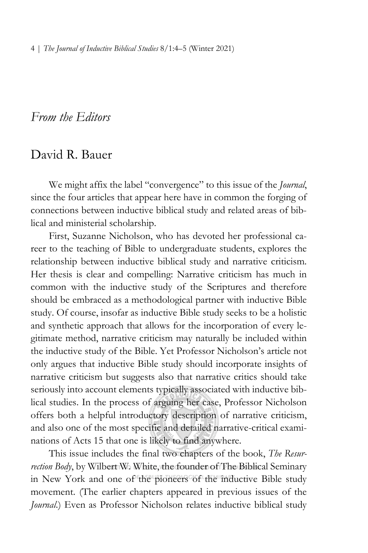## *From the Editors*

## David R. Bauer

We might affix the label "convergence" to this issue of the *Journal*, since the four articles that appear here have in common the forging of connections between inductive biblical study and related areas of biblical and ministerial scholarship.

First, Suzanne Nicholson, who has devoted her professional career to the teaching of Bible to undergraduate students, explores the relationship between inductive biblical study and narrative criticism. Her thesis is clear and compelling: Narrative criticism has much in common with the inductive study of the Scriptures and therefore should be embraced as a methodological partner with inductive Bible study. Of course, insofar as inductive Bible study seeks to be a holistic and synthetic approach that allows for the incorporation of every legitimate method, narrative criticism may naturally be included within the inductive study of the Bible. Yet Professor Nicholson's article not only argues that inductive Bible study should incorporate insights of narrative criticism but suggests also that narrative critics should take seriously into account elements typically associated with inductive biblical studies. In the process of arguing her case, Professor Nicholson offers both a helpful introductory description of narrative criticism, and also one of the most specific and detailed narrative-critical examinations of Acts 15 that one is likely to find anywhere.

This issue includes the final two chapters of the book, *The Resurrection Body*, by Wilbert W. White, the founder of The Biblical Seminary in New York and one of the pioneers of the inductive Bible study movement. (The earlier chapters appeared in previous issues of the *Journal.*) Even as Professor Nicholson relates inductive biblical study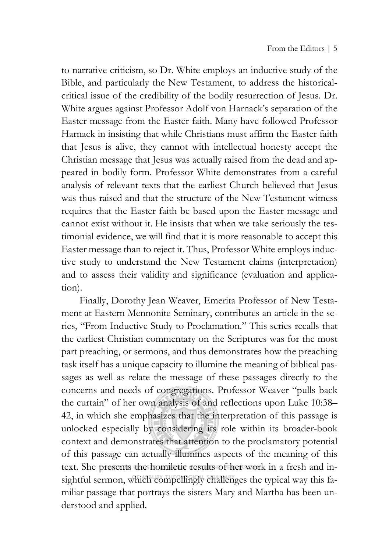to narrative criticism, so Dr. White employs an inductive study of the Bible, and particularly the New Testament, to address the historicalcritical issue of the credibility of the bodily resurrection of Jesus. Dr. White argues against Professor Adolf von Harnack's separation of the Easter message from the Easter faith. Many have followed Professor Harnack in insisting that while Christians must affirm the Easter faith that Jesus is alive, they cannot with intellectual honesty accept the Christian message that Jesus was actually raised from the dead and appeared in bodily form. Professor White demonstrates from a careful analysis of relevant texts that the earliest Church believed that Jesus was thus raised and that the structure of the New Testament witness requires that the Easter faith be based upon the Easter message and cannot exist without it. He insists that when we take seriously the testimonial evidence, we will find that it is more reasonable to accept this Easter message than to reject it. Thus, Professor White employs inductive study to understand the New Testament claims (interpretation) and to assess their validity and significance (evaluation and application).

Finally, Dorothy Jean Weaver, Emerita Professor of New Testament at Eastern Mennonite Seminary, contributes an article in the series, "From Inductive Study to Proclamation." This series recalls that the earliest Christian commentary on the Scriptures was for the most part preaching, or sermons, and thus demonstrates how the preaching task itself has a unique capacity to illumine the meaning of biblical passages as well as relate the message of these passages directly to the concerns and needs of congregations. Professor Weaver "pulls back the curtain" of her own analysis of and reflections upon Luke 10:38– 42, in which she emphasizes that the interpretation of this passage is unlocked especially by considering its role within its broader-book context and demonstrates that attention to the proclamatory potential of this passage can actually illumines aspects of the meaning of this text. She presents the homiletic results of her work in a fresh and insightful sermon, which compellingly challenges the typical way this familiar passage that portrays the sisters Mary and Martha has been understood and applied.